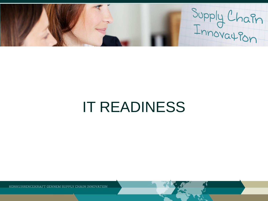Supply Chain

# IT READINESS

KONKURRENCEKRAFT GENNEM SUPPLY CHAIN INNOVATION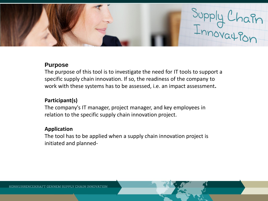

#### **Purpose**

The purpose of this tool is to investigate the need for IT tools to support a specific supply chain innovation. If so, the readiness of the company to work with these systems has to be assessed, i.e. an impact assessment**.**

## **Participant(s)**

The company's IT manager, project manager, and key employees in relation to the specific supply chain innovation project.

## **Application**

The tool has to be applied when a supply chain innovation project is initiated and planned-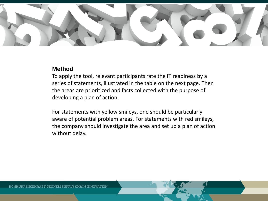

#### **Method**

To apply the tool, relevant participants rate the IT readiness by a series of statements, illustrated in the table on the next page. Then the areas are prioritized and facts collected with the purpose of developing a plan of action.

For statements with yellow smileys, one should be particularly aware of potential problem areas. For statements with red smileys, the company should investigate the area and set up a plan of action without delay.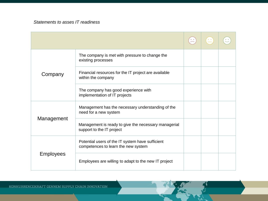*Statements to asses IT readiness*

| Company          | The company is met with pressure to change the<br>existing processes                    |  |  |
|------------------|-----------------------------------------------------------------------------------------|--|--|
|                  | Financial resources for the IT project are available<br>within the company              |  |  |
|                  | The company has good experience with<br>implementation of IT projects                   |  |  |
| Management       | Management has the necessary understanding of the<br>need for a new system              |  |  |
|                  | Management is ready to give the necessary managerial<br>support to the IT project       |  |  |
| <b>Employees</b> | Potential users of the IT system have sufficient<br>competences to learn the new system |  |  |
|                  | Employees are willing to adapt to the new IT project                                    |  |  |